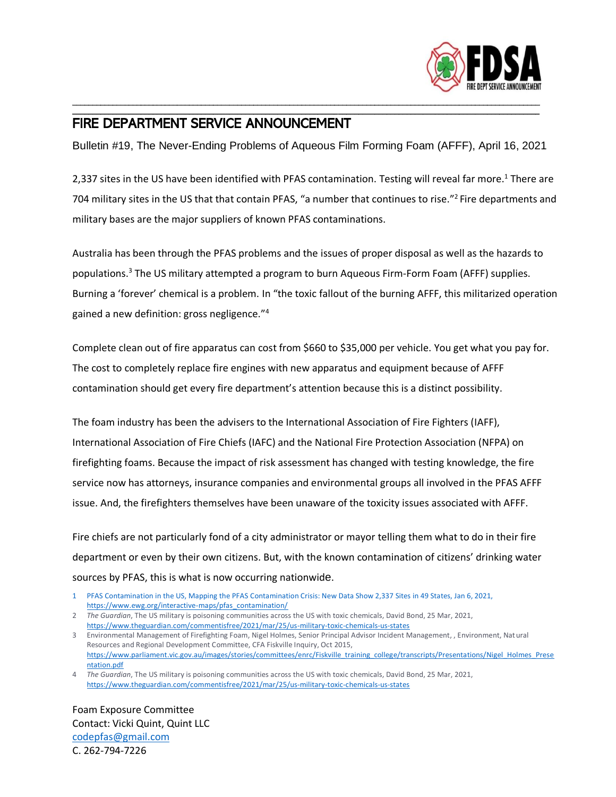

## FIRE DEPARTMENT SERVICE ANNOUNCEMENT

Bulletin #19, The Never-Ending Problems of Aqueous Film Forming Foam (AFFF), April 16, 2021

\_\_\_\_\_\_\_\_\_\_\_\_\_\_\_\_\_\_\_\_\_\_\_\_\_\_\_\_\_\_\_\_\_\_\_\_\_\_\_\_\_\_\_\_\_\_\_\_\_\_\_\_\_\_\_\_\_\_\_\_\_\_\_\_\_\_\_\_\_\_\_\_\_\_\_\_\_\_\_\_\_\_\_\_\_\_\_\_\_\_\_\_\_\_\_\_\_\_\_\_\_\_\_\_\_\_\_\_\_\_\_\_\_\_\_\_ \_\_\_\_\_\_\_\_\_\_\_\_\_\_\_\_\_\_\_\_\_\_\_\_\_\_\_\_\_\_\_\_\_\_\_\_\_\_\_\_\_\_\_\_\_\_\_\_\_\_\_\_\_\_\_\_\_\_\_\_\_\_\_\_\_\_\_\_\_\_\_\_\_\_\_\_\_\_\_\_\_\_\_\_\_\_\_\_\_\_\_\_\_\_\_\_\_\_\_\_\_\_\_\_\_\_\_\_\_\_\_\_\_\_\_\_

2,337 sites in the US have been identified with PFAS contamination. Testing will reveal far more.<sup>1</sup> There are 704 military sites in the US that that contain PFAS, "a number that continues to rise."<sup>2</sup> Fire departments and military bases are the major suppliers of known PFAS contaminations.

Australia has been through the PFAS problems and the issues of proper disposal as well as the hazards to populations.<sup>3</sup> The US military attempted a program to burn Aqueous Firm-Form Foam (AFFF) supplies. Burning a 'forever' chemical is a problem. In "the toxic fallout of the burning AFFF, this militarized operation gained a new definition: gross negligence."<sup>4</sup>

Complete clean out of fire apparatus can cost from \$660 to \$35,000 per vehicle. You get what you pay for. The cost to completely replace fire engines with new apparatus and equipment because of AFFF contamination should get every fire department's attention because this is a distinct possibility.

The foam industry has been the advisers to the International Association of Fire Fighters (IAFF), International Association of Fire Chiefs (IAFC) and the National Fire Protection Association (NFPA) on firefighting foams. Because the impact of risk assessment has changed with testing knowledge, the fire service now has attorneys, insurance companies and environmental groups all involved in the PFAS AFFF issue. And, the firefighters themselves have been unaware of the toxicity issues associated with AFFF.

Fire chiefs are not particularly fond of a city administrator or mayor telling them what to do in their fire department or even by their own citizens. But, with the known contamination of citizens' drinking water sources by PFAS, this is what is now occurring nationwide.

Foam Exposure Committee Contact: Vicki Quint, Quint LLC [codepfas@gmail.com](mailto:codepfas@gmail.com) C. 262-794-7226

<sup>1</sup> PFAS Contamination in the US, Mapping the PFAS Contamination Crisis: New Data Show 2,337 Sites in 49 States, Jan 6, 2021, [https://www.ewg.org/interactive-maps/pfas\\_contamination/](https://www.ewg.org/interactive-maps/pfas_contamination/)

<sup>2</sup> *The Guardian*, The US military is poisoning communities across the US with toxic chemicals, David Bond, 25 Mar, 2021, <https://www.theguardian.com/commentisfree/2021/mar/25/us-military-toxic-chemicals-us-states>

<sup>3</sup> Environmental Management of Firefighting Foam, Nigel Holmes, Senior Principal Advisor Incident Management, , Environment, Natural Resources and Regional Development Committee, CFA Fiskville Inquiry, Oct 2015, [https://www.parliament.vic.gov.au/images/stories/committees/enrc/Fiskville\\_training\\_college/transcripts/Presentations/Nigel\\_Holmes\\_Prese](https://www.parliament.vic.gov.au/images/stories/committees/enrc/Fiskville_training_college/transcripts/Presentations/Nigel_Holmes_Presentation.pdf) [ntation.pdf](https://www.parliament.vic.gov.au/images/stories/committees/enrc/Fiskville_training_college/transcripts/Presentations/Nigel_Holmes_Presentation.pdf)

<sup>4</sup> *The Guardian*, The US military is poisoning communities across the US with toxic chemicals, David Bond, 25 Mar, 2021, <https://www.theguardian.com/commentisfree/2021/mar/25/us-military-toxic-chemicals-us-states>